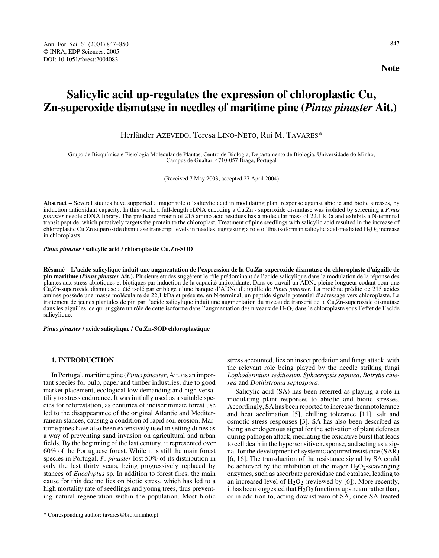# **Salicylic acid up-regulates the expression of chloroplastic Cu, Zn-superoxide dismutase in needles of maritime pine (***Pinus pinaster* **Ait.)**

# Herlânder AZEVEDO, Teresa LINO-NETO, Rui M. TAVARES\*

Grupo de Bioquímica e Fisiologia Molecular de Plantas, Centro de Biologia, Departamento de Biologia, Universidade do Minho, Campus de Gualtar, 4710-057 Braga, Portugal

(Received 7 May 2003; accepted 27 April 2004)

**Abstract –** Several studies have supported a major role of salicylic acid in modulating plant response against abiotic and biotic stresses, by induction antioxidant capacity. In this work, a full-length cDNA encoding a Cu,Zn - superoxide dismutase was isolated by screening a *Pinus pinaster* needle cDNA library. The predicted protein of 215 amino acid residues has a molecular mass of 22.1 kDa and exhibits a N-terminal transit peptide, which putatively targets the protein to the chloroplast*.* Treatment of pine seedlings with salicylic acid resulted in the increase of chloroplastic Cu,Zn superoxide dismutase transcript levels in needles, suggesting a role of this isoform in salicylic acid-mediated  $H_2O_2$  increase in chloroplasts.

## *Pinus pinaster* **/ salicylic acid / chloroplastic Cu,Zn-SOD**

**Résumé – L'acide salicylique induit une augmentation de l'expression de la Cu,Zn-superoxide dismutase du chloroplaste d'aiguille de pin maritime (***Pinus pinaster* **Ait.).** Plusieurs études suggèrent le rôle prédominant de l'acide salicylique dans la modulation de la réponse des plantes aux stress abiotiques et biotiques par induction de la capacité antioxidante. Dans ce travail un ADNc pleine longueur codant pour une Cu,Zn-superoxide dismutase a été isolé par criblage d'une banque d'ADNc d'aiguille de *Pinus pinaster*. La protéine prédite de 215 acides aminés possède une masse moléculaire de 22,1 kDa et présente, en N-terminal, un peptide signale potentiel d'adressage vers chloroplaste. Le traitement de jeunes plantules de pin par l'acide salicylique induit une augmentation du niveau de transcrit de la Cu,Zn-superoxide dismutase dans les aiguilles, ce qui suggère un rôle de cette isoforme dans l'augmentation des niveaux de  $H_2O_2$  dans le chloroplaste sous l'effet de l'acide salicylique.

*Pinus pinaster* **/ acide salicylique / Cu,Zn-SOD chloroplastique**

# **1. INTRODUCTION**

In Portugal, maritime pine (*Pinus pinaster*, Ait.) is an important species for pulp, paper and timber industries, due to good market placement, ecological low demanding and high versatility to stress endurance. It was initially used as a suitable species for reforestation, as centuries of indiscriminate forest use led to the disappearance of the original Atlantic and Mediterranean stances, causing a condition of rapid soil erosion. Maritime pines have also been extensively used in setting dunes as a way of preventing sand invasion on agricultural and urban fields. By the beginning of the last century, it represented over 60% of the Portuguese forest. While it is still the main forest species in Portugal, *P. pinaster* lost 50% of its distribution in only the last thirty years, being progressively replaced by stances of *Eucalyptus* sp. In addition to forest fires, the main cause for this decline lies on biotic stress, which has led to a high mortality rate of seedlings and young trees, thus preventing natural regeneration within the population. Most biotic

stress accounted, lies on insect predation and fungi attack, with the relevant role being played by the needle striking fungi *Lophodermium seditiosum*, *Sphaeropsis sapinea*, *Botrytis cinerea* and *Dothistroma septospora*.

Salicylic acid (SA) has been referred as playing a role in modulating plant responses to abiotic and biotic stresses. Accordingly, SA has been reported to increase thermotolerance and heat acclimation [5], chilling tolerance [11], salt and osmotic stress responses [3]. SA has also been described as being an endogenous signal for the activation of plant defenses during pathogen attack, mediating the oxidative burst that leads to cell death in the hypersensitive response, and acting as a signal for the development of systemic acquired resistance (SAR) [6, 16]. The transduction of the resistance signal by SA could be achieved by the inhibition of the major  $H_2O_2$ -scavenging enzymes, such as ascorbate peroxidase and catalase, leading to an increased level of  $H_2O_2$  (reviewed by [6]). More recently, it has been suggested that  $H_2O_2$  functions upstream rather than, or in addition to, acting downstream of SA, since SA-treated

<sup>\*</sup> Corresponding author: tavares@bio.uminho.pt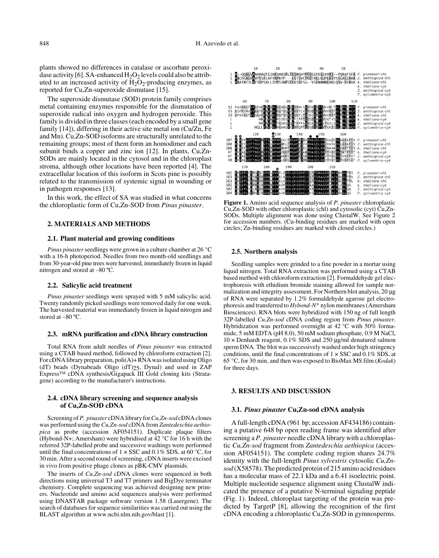plants showed no differences in catalase or ascorbate peroxidase activity [6]. SA-enhanced  $H_2O_2$  levels could also be attributed to an increased activity of  $H_2O_2$ -producing enzymes, as reported for Cu,Zn-superoxide dismutase [15].

The superoxide dismutase (SOD) protein family comprises metal containing enzymes responsible for the dismutation of superoxide radical into oxygen and hydrogen peroxide. This family is divided in three classes (each encoded by a small gene family [14]), differing in their active site metal ion (Cu/Zn, Fe and Mn). Cu,Zn-SOD isoforms are structurally unrelated to the remaining groups; most of them form an homodimer and each subunit binds a copper and zinc ion [12]. In plants, Cu,Zn-SODs are mainly located in the cytosol and in the chloroplast stroma, although other locations have been reported [4]. The extracellular location of this isoform in Scots pine is possibly related to the transmission of systemic signal in wounding or in pathogen responses [13].

In this work, the effect of SA was studied in what concerns the chloroplastic form of Cu,Zn-SOD from *Pinus pinaster*.

# **2. MATERIALS AND METHODS**

## **2.1. Plant material and growing conditions**

*Pinus pinaster* seedlings were grown in a culture chamber at 26 °C with a 16-h photoperiod. Needles from two month-old seedlings and from 30-year-old pine trees were harvested, immediately frozen in liquid nitrogen and stored at –80 ºC.

## **2.2. Salicylic acid treatment**

*Pinus pinaster* seedlings were sprayed with 5 mM salicylic acid. Twenty randomly picked seedlings were removed daily for one week. The harvested material was immediately frozen in liquid nitrogen and stored at –80 ºC.

#### **2.3. mRNA purification and cDNA library construction**

Total RNA from adult needles of *Pinus pinaster* was extracted using a CTAB based method, followed by chloroform extraction [2]. For cDNA library preparation,  $\text{poli}(A)$  + RNA was isolated using Oligo (dT) beads (Dynabeads Oligo (dT)25, Dynal) and used in ZAP Express™ cDNA synthesis/Gigapack III Gold cloning kits (Stratagene) according to the manufacturer's instructions.

## **2.4. cDNA library screening and sequence analysis of Cu,Zn-SOD cDNA**

Screening of *P. pinaster* cDNA library for *Cu,Zn-sod* cDNA clones was performed using the *Cu,Zn-sod* cDNA from *Zantedeschia aethiopica* as probe (accession AF054151). Duplicate plaque filters (Hybond-N+; Amersham) were hybridised at 42 °C for 16 h with the referred 32P-labelled probe and successive washings were performed until the final concentrations of  $1 \times SSC$  and  $0.1\%$  SDS, at 60 °C, for 30 min. After a second round of screening, cDNA inserts were excised in vivo from positive phage clones as pBK-CMV plasmids.

The inserts of *Cu,Zn-sod* cDNA clones were sequenced in both directions using universal T3 and T7 primers and BigDye terminator chemistry. Complete sequencing was achieved designing new primers. Nucleotide and amino acid sequences analysis were performed using DNASTAR package software version 1.58 (Lasergene). The search of databases for sequence similarities was carried out using the BLAST algorithm at www.ncbi.nlm.nih.gov/blast [1].



**Figure 1.** Amino acid sequence analysis of *P. pinaster* chloroplastic Cu,Zn-SOD with other chloroplastic (chl) and cytosolic (cyt) Cu,Zn-SODs. Multiple alignment was done using ClustalW. See Figure 2 for accession numbers. (Cu-binding residues are marked with open circles; Zn-binding residues are marked with closed circles.)

## **2.5. Northern analysis**

Seedling samples were grinded to a fine powder in a mortar using liquid nitrogen. Total RNA extraction was performed using a CTAB based method with chloroform extraction [2]. Formaldehyde gel electrophoresis with ethidium bromide staining allowed for sample normalization and integrity assessment. For Northern blot analysis, 20 µg of RNA were separated by 1.2% formaldehyde agarose gel electrophoresis and transferred to *Hybond-N+* nylon membranes (Amersham Biosciences). RNA blots were hybridized with 150 ng of full length 32P*-*labelled *Cu,Zn-sod* cDNA coding region from *Pinus pinaster*. Hybridization was performed overnight at 42 °C with 50% formamide, 5 mM EDTA (pH 8.0), 50 mM sodium phosphate, 0.9 M NaCl,  $10 \times$  Denhardt reagent,  $0.1\%$  SDS and 250  $\mu$ g/ml denatured salmon sperm DNA. The blot was successively washed under high stringency conditions, until the final concentrations of  $1 \times SSC$  and  $0.1\%$  SDS, at 65 °C, for 30 min, and then was exposed to BioMax MS film (*Kodak*) for three days.

## **3. RESULTS AND DISCUSSION**

### **3.1.** *Pinus pinaster* **Cu,Zn-sod cDNA analysis**

A full-length cDNA (961 bp; accession AF434186) containing a putative 648 bp open reading frame was identified after screening a *P. pinaster* needle cDNA library with a chloroplastic *Cu,Zn-sod* fragment from *Zantedeschia aethiopica* (accession AF054151). The complete coding region shares 24.7% identity with the full-length *Pinus sylvestris* cytosolic *Cu,Znsod* (X58578). The predicted protein of 215 amino acid residues has a molecular mass of 22.1 kDa and a 6.41 isoelectric point. Multiple nucleotide sequence alignment using ClustalW indicated the presence of a putative N-terminal signaling peptide (Fig. 1). Indeed, chloroplast targeting of the protein was predicted by TargetP [8], allowing the recognition of the first cDNA encoding a chloroplastic Cu,Zn-SOD in gymnosperms.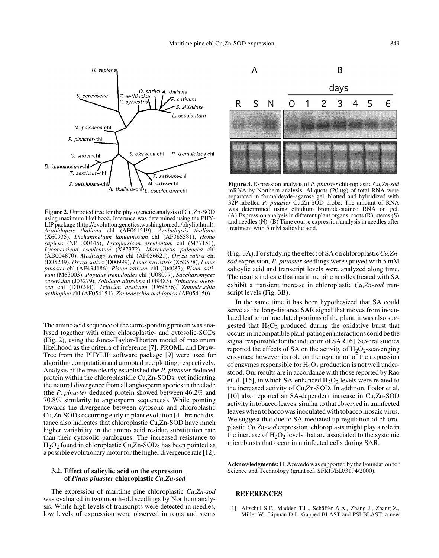H. sapiens O. sativa A. thaliana Z. aethiopica<br>P. sylvestris S. cereviseae  $\mathcal{P}$  sativum altissima L. esculentum M. paleacea-chl P. pinaster-chl P. tremuloides-chl S. oleracea-chl O. sativa-chl D. lanuginosum-chl T. aestivum chl P. sativum chl M. sativa-chl Z. aethiopica-chl. A. thaliana-ch $\mathbf{h}_L$  esculentum-chl

**Figure 2.** Unrooted tree for the phylogenetic analysis of Cu,Zn-SOD using maximum likelihood. Inference was determined using the PHY-LIP package (http://evolution.genetics.washington.edu/phylip.html). *Arabidopsis thaliana* chl (AF061519), *Arabidopsis thaliana* (X60935), *Dichanthelium lanuginosum* chl (AF385581), *Homo sapiens* (NP\_000445), *Lycopersicon esculentum* chl (M37151), *Lycopersicon esculentum* (X87372), *Marchantia paleacea* chl (AB004870), *Medicago sativa* chl (AF056621), *Oryza sativa* chl (D85239), *Oryza sativa* (D00999), *Pinus sylvestris* (X58578), *Pinus pinaster* chl (AF434186), *Pisum sativum* chl (J04087), *Pisum sativum* (M63003), *Populus tremuloides* chl (U08097), *Saccharomyces cerevisiae* (J03279), *Solidago altissima* (D49485), *Spinacea oleracea* chl (D10244), *Triticum aestivum* (U69536), *Zantedeschia aethiopica* chl (AF054151), *Zantedeschia aethiopica* (AF054150).

The amino acid sequence of the corresponding protein was analysed together with other chloroplastic- and cytosolic-SODs (Fig. 2), using the Jones-Taylor-Thorton model of maximum likelihood as the criteria of inference [7]. PROML and Draw-Tree from the PHYLIP software package [9] were used for algorithm computation and unrooted tree plotting, respectively. Analysis of the tree clearly established the *P. pinaster* deduced protein within the chloroplastidic Cu,Zn-SODs, yet indicating the natural divergence from all angiosperm species in the clade (the *P. pinaster* deduced protein showed between 46.2% and 70.8% similarity to angiosperm sequences). While pointing towards the divergence between cytosolic and chloroplastic Cu,Zn-SODs occurring early in plant evolution [4], branch distance also indicates that chloroplastic Cu,Zn-SOD have much higher variability in the amino acid residue substitution rate than their cytosolic paralogues. The increased resistance to H2O2 found in chloroplastic Cu,Zn-SODs has been pointed as a possible evolutionary motor for the higher divergence rate [12].

# **3.2. Effect of salicylic acid on the expression of** *Pinus pinaster* **chloroplastic** *Cu,Zn-sod*

The expression of maritime pine chloroplastic *Cu,Zn-sod* was evaluated in two month-old seedlings by Northern analysis. While high levels of transcripts were detected in needles, low levels of expression were observed in roots and stems



**Figure 3.** Expression analysis of *P. pinaster* chloroplastic *Cu,Zn-sod* mRNA by Northern analysis. Aliquots (20  $\mu$ g) of total RNA were separated in formaldeyde-agarose gel, blotted and hybridized with 32P-labelled *P. pinaster* Cu,Zn-SOD probe. The amount of RNA was determined using ethidium bromide-stained RNA on gel. (A) Expression analysis in different plant organs: roots (R), stems (S) and needles (N). (B) Time course expression analysis in needles after treatment with 5 mM salicylic acid.

(Fig. 3A). For studying the effect of SA on chloroplastic *Cu,Znsod* expression, *P. pinaster* seedlings were sprayed with 5 mM salicylic acid and transcript levels were analyzed along time. The results indicate that maritime pine needles treated with SA exhibit a transient increase in chloroplastic *Cu,Zn-sod* transcript levels (Fig. 3B).

In the same time it has been hypothesized that SA could serve as the long-distance SAR signal that moves from inoculated leaf to uninoculated portions of the plant, it was also suggested that  $H_2O_2$  produced during the oxidative burst that occurs in incompatible plant-pathogen interactions could be the signal responsible for the induction of SAR [6]. Several studies reported the effects of SA on the activity of  $H_2O_2$ -scavenging enzymes; however its role on the regulation of the expression of enzymes responsible for  $H_2O_2$  production is not well understood. Our results are in accordance with those reported by Rao et al. [15], in which SA-enhanced  $H_2O_2$  levels were related to the increased activity of Cu,Zn-SOD. In addition, Fodor et al. [10] also reported an SA-dependent increase in Cu,Zn-SOD activity in tobacco leaves, similar to that observed in uninfected leaves when tobacco was inoculated with tobacco mosaic virus. We suggest that due to SA-mediated up-regulation of chloroplastic *Cu,Zn-sod* expression, chloroplasts might play a role in the increase of  $H_2O_2$  levels that are associated to the systemic microbursts that occur in uninfected cells during SAR.

**Acknowledgments:** H. Azevedo was supported by the Foundation for Science and Technology (grant ref. SFRH/BD/3194/2000).

## **REFERENCES**

[1] Altschul S.F., Madden T.L., Schäffer A.A., Zhang J., Zhang Z., Miller W., Lipman D.J., Gapped BLAST and PSI-BLAST: a new